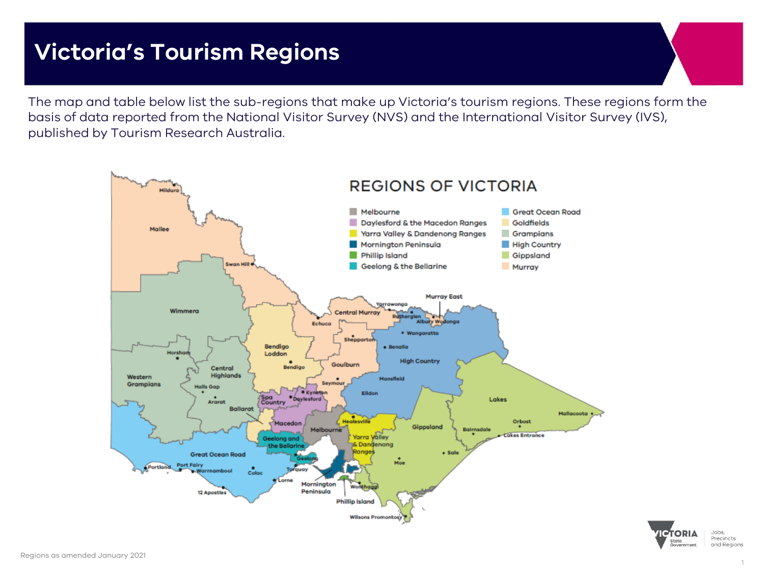The map and table below list the sub-regions that make up Victoria's tourism regions. These regions form the basis of data reported from the National Visitor Survey (NVS) and the International Visitor Survey (IVS), published by Tourism Research Australia.



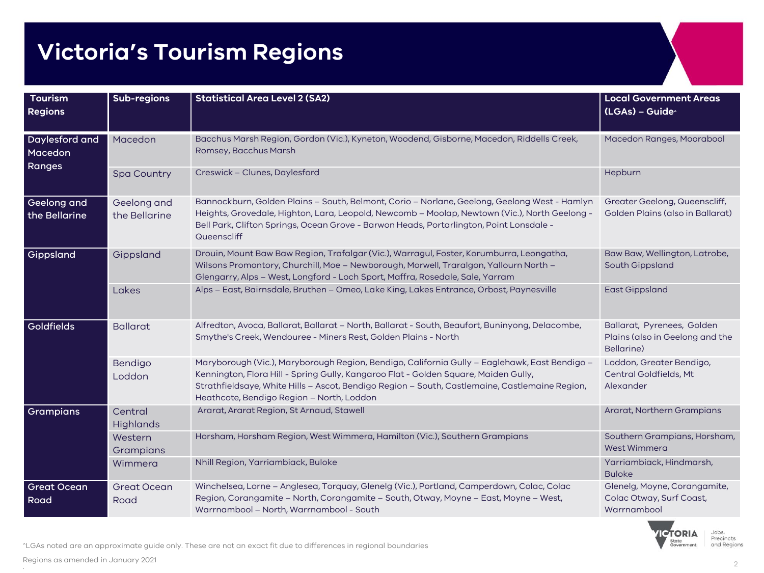| Tourism<br><b>Regions</b>           | Sub-regions                  | <b>Statistical Area Level 2 (SA2)</b>                                                                                                                                                                                                                                                                                               | <b>Local Government Areas</b><br>(LGAs) - Guide^                            |
|-------------------------------------|------------------------------|-------------------------------------------------------------------------------------------------------------------------------------------------------------------------------------------------------------------------------------------------------------------------------------------------------------------------------------|-----------------------------------------------------------------------------|
| Daylesford and<br>Macedon<br>Ranges | Macedon                      | Bacchus Marsh Region, Gordon (Vic.), Kyneton, Woodend, Gisborne, Macedon, Riddells Creek,<br>Romsey, Bacchus Marsh                                                                                                                                                                                                                  | Macedon Ranges, Moorabool                                                   |
|                                     | <b>Spa Country</b>           | Creswick - Clunes, Daylesford                                                                                                                                                                                                                                                                                                       | Hepburn                                                                     |
| Geelong and<br>the Bellarine        | Geelong and<br>the Bellarine | Bannockburn, Golden Plains – South, Belmont, Corio – Norlane, Geelong, Geelong West - Hamlyn<br>Heights, Grovedale, Highton, Lara, Leopold, Newcomb - Moolap, Newtown (Vic.), North Geelong -<br>Bell Park, Clifton Springs, Ocean Grove - Barwon Heads, Portarlington, Point Lonsdale -<br>Queenscliff                             | Greater Geelong, Queenscliff,<br>Golden Plains (also in Ballarat)           |
| Gippsland                           | Gippsland                    | Drouin, Mount Baw Baw Region, Trafalgar (Vic.), Warragul, Foster, Korumburra, Leongatha,<br>Wilsons Promontory, Churchill, Moe - Newborough, Morwell, Traralgon, Yallourn North -<br>Glengarry, Alps - West, Longford - Loch Sport, Maffra, Rosedale, Sale, Yarram                                                                  | Baw Baw, Wellington, Latrobe,<br>South Gippsland                            |
|                                     | Lakes                        | Alps - East, Bairnsdale, Bruthen - Omeo, Lake King, Lakes Entrance, Orbost, Paynesville                                                                                                                                                                                                                                             | <b>East Gippsland</b>                                                       |
| Goldfields                          | <b>Ballarat</b>              | Alfredton, Avoca, Ballarat, Ballarat - North, Ballarat - South, Beaufort, Buninyong, Delacombe,<br>Smythe's Creek, Wendouree - Miners Rest, Golden Plains - North                                                                                                                                                                   | Ballarat, Pyrenees, Golden<br>Plains (also in Geelong and the<br>Bellarine) |
|                                     | Bendigo<br>Loddon            | Maryborough (Vic.), Maryborough Region, Bendigo, California Gully – Eaglehawk, East Bendigo –<br>Kennington, Flora Hill - Spring Gully, Kangaroo Flat - Golden Square, Maiden Gully,<br>Strathfieldsaye, White Hills - Ascot, Bendigo Region - South, Castlemaine, Castlemaine Region,<br>Heathcote, Bendigo Region - North, Loddon | Loddon, Greater Bendigo,<br>Central Goldfields, Mt<br>Alexander             |
| Grampians                           | Central<br><b>Highlands</b>  | Ararat, Ararat Region, St Arnaud, Stawell                                                                                                                                                                                                                                                                                           | Ararat, Northern Grampians                                                  |
|                                     | Western<br>Grampians         | Horsham, Horsham Region, West Wimmera, Hamilton (Vic.), Southern Grampians                                                                                                                                                                                                                                                          | Southern Grampians, Horsham,<br><b>West Wimmera</b>                         |
|                                     | Wimmera                      | Nhill Region, Yarriambiack, Buloke                                                                                                                                                                                                                                                                                                  | Yarriambiack, Hindmarsh,<br><b>Buloke</b>                                   |
| <b>Great Ocean</b><br>Road          | <b>Great Ocean</b><br>Road   | Winchelsea, Lorne - Anglesea, Torquay, Glenelg (Vic.), Portland, Camperdown, Colac, Colac<br>Region, Corangamite - North, Corangamite - South, Otway, Moyne - East, Moyne - West,<br>Warrnambool - North, Warrnambool - South                                                                                                       | Glenelg, Moyne, Corangamite,<br>Colac Otway, Surf Coast,<br>Warrnambool     |



^LGAs noted are an approximate guide only. These are not an exact fit due to differences in regional boundaries

. Regions as amended in January 2021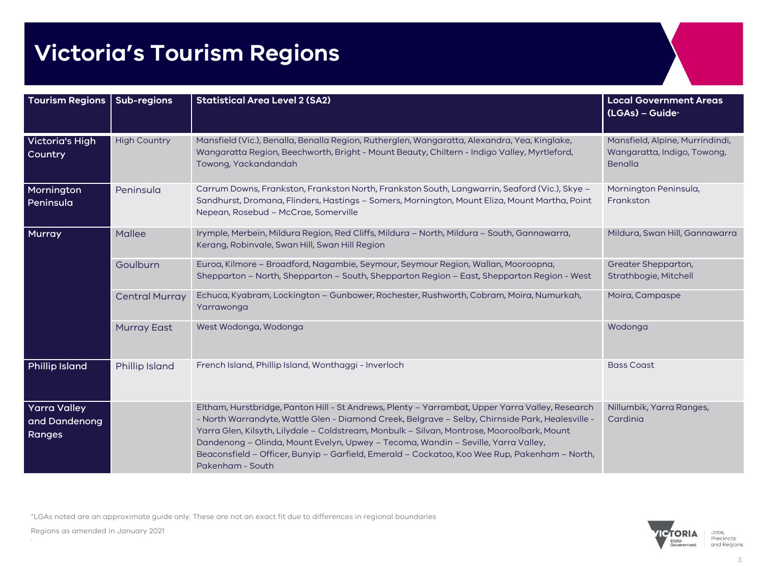| <b>Tourism Regions</b>                         | <b>Sub-regions</b>    | <b>Statistical Area Level 2 (SA2)</b>                                                                                                                                                                                                                                                                                                                                                                                                                                                                       | <b>Local Government Areas</b><br>(LGAs) - Guide^                                 |
|------------------------------------------------|-----------------------|-------------------------------------------------------------------------------------------------------------------------------------------------------------------------------------------------------------------------------------------------------------------------------------------------------------------------------------------------------------------------------------------------------------------------------------------------------------------------------------------------------------|----------------------------------------------------------------------------------|
| Victoria's High<br>Country                     | <b>High Country</b>   | Mansfield (Vic.), Benalla, Benalla Region, Rutherglen, Wangaratta, Alexandra, Yea, Kinglake,<br>Wangaratta Region, Beechworth, Bright - Mount Beauty, Chiltern - Indigo Valley, Myrtleford,<br>Towong, Yackandandah                                                                                                                                                                                                                                                                                         | Mansfield, Alpine, Murrindindi,<br>Wangaratta, Indigo, Towong,<br><b>Benalla</b> |
| Mornington<br>Peninsula                        | Peninsula             | Carrum Downs, Frankston, Frankston North, Frankston South, Langwarrin, Seaford (Vic.), Skye -<br>Sandhurst, Dromana, Flinders, Hastings - Somers, Mornington, Mount Eliza, Mount Martha, Point<br>Nepean, Rosebud - McCrae, Somerville                                                                                                                                                                                                                                                                      | Mornington Peninsula,<br>Frankston                                               |
| Murray                                         | Mallee                | Irymple, Merbein, Mildura Region, Red Cliffs, Mildura - North, Mildura - South, Gannawarra,<br>Kerang, Robinvale, Swan Hill, Swan Hill Region                                                                                                                                                                                                                                                                                                                                                               | Mildura, Swan Hill, Gannawarra                                                   |
|                                                | Goulburn              | Euroa, Kilmore – Broadford, Nagambie, Seymour, Seymour Region, Wallan, Mooroopna,<br>Shepparton – North, Shepparton – South, Shepparton Region – East, Shepparton Region - West                                                                                                                                                                                                                                                                                                                             | Greater Shepparton,<br>Strathbogie, Mitchell                                     |
|                                                | <b>Central Murray</b> | Echuca, Kyabram, Lockington – Gunbower, Rochester, Rushworth, Cobram, Moira, Numurkah,<br>Yarrawonga                                                                                                                                                                                                                                                                                                                                                                                                        | Moira, Campaspe                                                                  |
|                                                | <b>Murray East</b>    | West Wodonga, Wodonga                                                                                                                                                                                                                                                                                                                                                                                                                                                                                       | Wodonga                                                                          |
| <b>Phillip Island</b>                          | <b>Phillip Island</b> | French Island, Phillip Island, Wonthaggi - Inverloch                                                                                                                                                                                                                                                                                                                                                                                                                                                        | <b>Bass Coast</b>                                                                |
| <b>Yarra Valley</b><br>and Dandenong<br>Ranges |                       | Eltham, Hurstbridge, Panton Hill - St Andrews, Plenty - Yarrambat, Upper Yarra Valley, Research<br>- North Warrandyte, Wattle Glen - Diamond Creek, Belgrave - Selby, Chirnside Park, Healesville -<br>Yarra Glen, Kilsyth, Lilydale - Coldstream, Monbulk - Silvan, Montrose, Mooroolbark, Mount<br>Dandenong – Olinda, Mount Evelyn, Upwey – Tecoma, Wandin – Seville, Yarra Valley,<br>Beaconsfield – Officer, Bunyip – Garfield, Emerald – Cockatoo, Koo Wee Rup, Pakenham – North,<br>Pakenham - South | Nillumbik, Yarra Ranges,<br>Cardinia                                             |

^LGAs noted are an approximate guide only. These are not an exact fit due to differences in regional boundaries